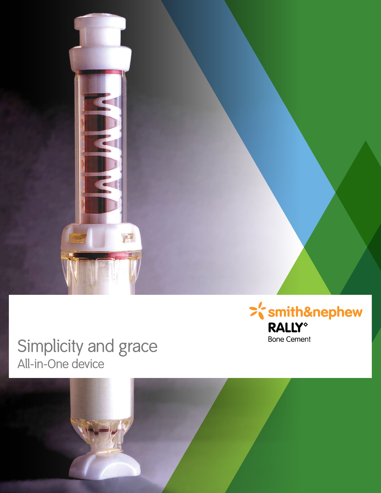# Simplicity and grace All-in-One device



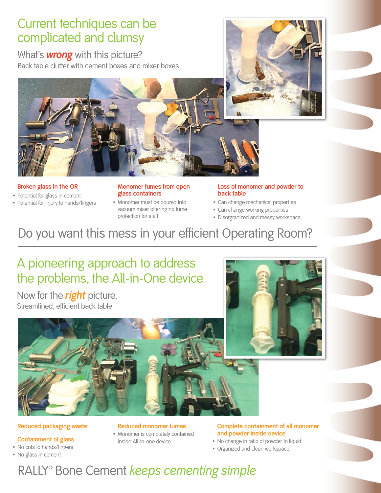# Current techniques can be complicated and clumsy

What's *wrong* with this picture? Back table clutter with cement boxes and mixer boxes



## **Broken glass in the OR**

- Potential for glass in cement
- Potential for injury to hands/fingers

#### **Monomer fumes from open glass containers**

• Monomer must be poured into vacuum mixer offering no fume protection for staff

#### **Loss of monomer and powder to back table**

- Can change mechanical properties
- Can change working properties
- Disorgranized and messy workspace

# Do you want this mess in your efficient Operating Room?

# A pioneering approach to address the problems, the All-in-One device

Now for the *right* picture. Streamlined, efficient back table





## **Reduced packaging waste**

### **Containment of glass**

- No cuts to hands/fingers
- No glass in cement

**Reduced monomer fumes** • Monomer is completely contained inside All-in-one device

### **Complete containment of all monomer and powder inside device**

- No change in ratio of powder to liquid
- Organized and clean workspace
- RALLY™ Bone Cement *keeps cementing simple*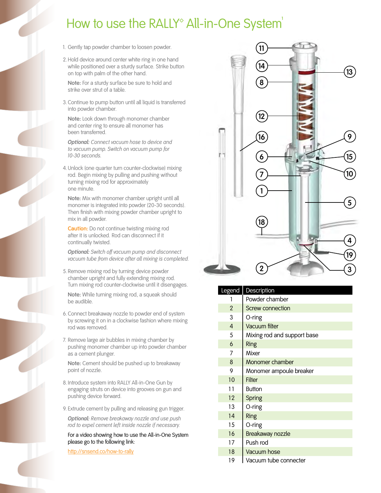# How to use the RALLY<sup>®</sup> All-in-One System<sup>1</sup>

- 1. Gently tap powder chamber to loosen powder.
- 2.Hold device around center white ring in one hand while positioned over a sturdy surface. Strike button on top with palm of the other hand.

**Note:** For a sturdy surface be sure to hold and strike over strut of a table.

3.Continue to pump button until all liquid is transferred into powder chamber.

**Note:** Look down through monomer chamber and center ring to ensure all monomer has been transferred.

*Optional: Connect vacuum hose to device and to vacuum pump. Switch on vacuum pump for 10-30 seconds.*

4.Unlock (one quarter turn counter-clockwise) mixing rod. Begin mixing by pulling and pushing without turning mixing rod for approximately one minute.

**Note:** Mix with monomer chamber upright until all monomer is integrated into powder (20-30 seconds). Then finish with mixing powder chamber upright to mix in all powder.

**Caution:** Do not continue twisting mixing rod after it is unlocked. Rod can disconnect if it continually twisted.

*Optional: Switch off vacuum pump and disconnect vacuum tube from device after all mixing is completed.*

5.Remove mixing rod by turning device powder chamber upright and fully extending mixing rod. Turn mixing rod counter-clockwise until it disengages.

**Note:** While turning mixing rod, a squeak should be audible.

- 6.Connect breakaway nozzle to powder end of system by screwing it on in a clockwise fashion where mixing rod was removed.
- 7. Remove large air bubbles in mixing chamber by pushing monomer chamber up into powder chamber as a cement plunger.

**Note:** Cement should be pushed up to breakaway point of nozzle.

- 8. Introduce system into RALLY All-in-One Gun by engaging struts on device into grooves on gun and pushing device forward.
- 9. Extrude cement by pulling and releasing gun trigger.

*Optional: Remove breakaway nozzle and use push rod to expel cement left inside nozzle if necessary.*

For a video showing how to use the All-in-One System please go to the following link:

http://snsend.co/how-to-rally



| Legend         | Description                 |
|----------------|-----------------------------|
|                | Powder chamber              |
| $\overline{2}$ | <b>Screw connection</b>     |
| 3              | O-ring                      |
| 4              | Vacuum filter               |
| 5              | Mixing rod and support base |
| 6              | Ring                        |
| 7              | Mixer                       |
| 8              | Monomer chamber             |
| 9              | Monomer ampoule breaker     |
| 10             | <b>Filter</b>               |
| 11             | <b>Button</b>               |
| 12             | Spring                      |
| 13             | O-ring                      |
| 14             | <b>Ring</b>                 |
| 15             | O-ring                      |
| 16             | Breakaway nozzle            |
| 17             | Push rod                    |
| 18             | Vacuum hose                 |
| 19             | Vacuum tube connecter       |